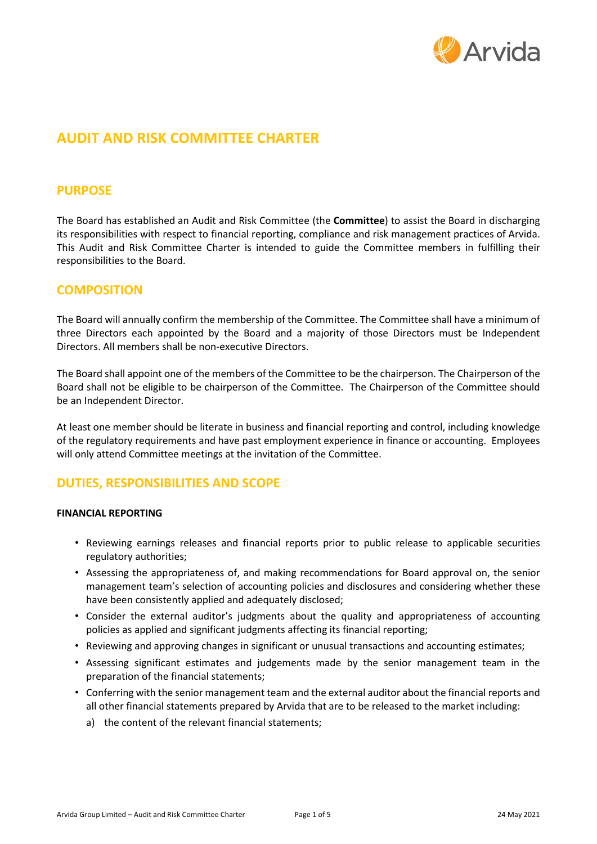

# **AUDIT AND RISK COMMITTEE CHARTER**

### **PURPOSE**

The Board has established an Audit and Risk Committee (the **Committee**) to assist the Board in discharging its responsibilities with respect to financial reporting, compliance and risk management practices of Arvida. This Audit and Risk Committee Charter is intended to guide the Committee members in fulfilling their responsibilities to the Board.

### **COMPOSITION**

The Board will annually confirm the membership of the Committee. The Committee shall have a minimum of three Directors each appointed by the Board and a majority of those Directors must be Independent Directors. All members shall be non-executive Directors.

The Board shall appoint one of the members of the Committee to be the chairperson. The Chairperson of the Board shall not be eligible to be chairperson of the Committee. The Chairperson of the Committee should be an Independent Director.

At least one member should be literate in business and financial reporting and control, including knowledge of the regulatory requirements and have past employment experience in finance or accounting. Employees will only attend Committee meetings at the invitation of the Committee.

# **DUTIES, RESPONSIBILITIES AND SCOPE**

#### **FINANCIAL REPORTING**

- Reviewing earnings releases and financial reports prior to public release to applicable securities regulatory authorities;
- Assessing the appropriateness of, and making recommendations for Board approval on, the senior management team's selection of accounting policies and disclosures and considering whether these have been consistently applied and adequately disclosed;
- Consider the external auditor's judgments about the quality and appropriateness of accounting policies as applied and significant judgments affecting its financial reporting;
- Reviewing and approving changes in significant or unusual transactions and accounting estimates;
- Assessing significant estimates and judgements made by the senior management team in the preparation of the financial statements;
- Conferring with the senior management team and the external auditor about the financial reports and all other financial statements prepared by Arvida that are to be released to the market including:
	- a) the content of the relevant financial statements;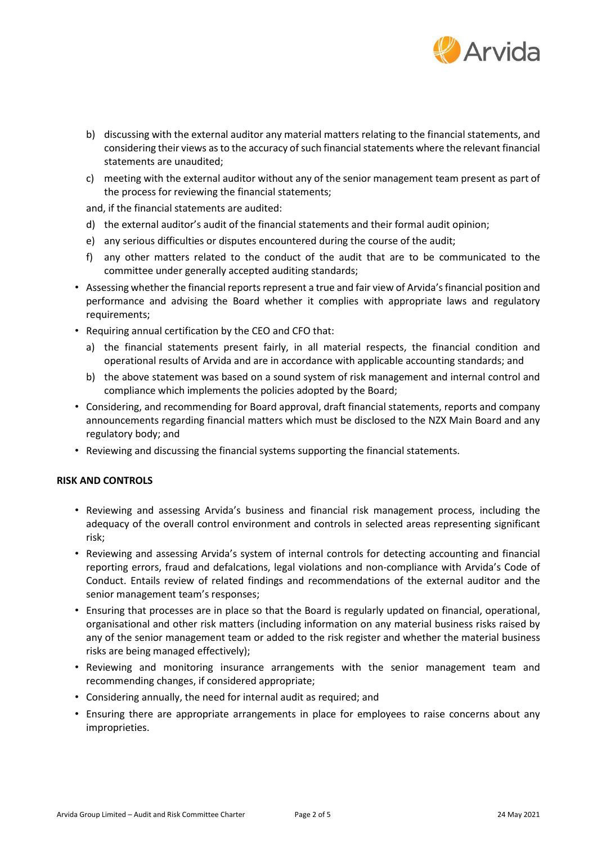

- b) discussing with the external auditor any material matters relating to the financial statements, and considering their views as to the accuracy of such financial statements where the relevant financial statements are unaudited;
- c) meeting with the external auditor without any of the senior management team present as part of the process for reviewing the financial statements;

and, if the financial statements are audited:

- d) the external auditor's audit of the financial statements and their formal audit opinion;
- e) any serious difficulties or disputes encountered during the course of the audit;
- f) any other matters related to the conduct of the audit that are to be communicated to the committee under generally accepted auditing standards;
- Assessing whether the financial reports represent a true and fair view of Arvida's financial position and performance and advising the Board whether it complies with appropriate laws and regulatory requirements;
- Requiring annual certification by the CEO and CFO that:
	- a) the financial statements present fairly, in all material respects, the financial condition and operational results of Arvida and are in accordance with applicable accounting standards; and
	- b) the above statement was based on a sound system of risk management and internal control and compliance which implements the policies adopted by the Board;
- Considering, and recommending for Board approval, draft financial statements, reports and company announcements regarding financial matters which must be disclosed to the NZX Main Board and any regulatory body; and
- Reviewing and discussing the financial systems supporting the financial statements.

#### **RISK AND CONTROLS**

- Reviewing and assessing Arvida's business and financial risk management process, including the adequacy of the overall control environment and controls in selected areas representing significant risk;
- Reviewing and assessing Arvida's system of internal controls for detecting accounting and financial reporting errors, fraud and defalcations, legal violations and non-compliance with Arvida's Code of Conduct. Entails review of related findings and recommendations of the external auditor and the senior management team's responses;
- Ensuring that processes are in place so that the Board is regularly updated on financial, operational, organisational and other risk matters (including information on any material business risks raised by any of the senior management team or added to the risk register and whether the material business risks are being managed effectively);
- Reviewing and monitoring insurance arrangements with the senior management team and recommending changes, if considered appropriate;
- Considering annually, the need for internal audit as required; and
- Ensuring there are appropriate arrangements in place for employees to raise concerns about any improprieties.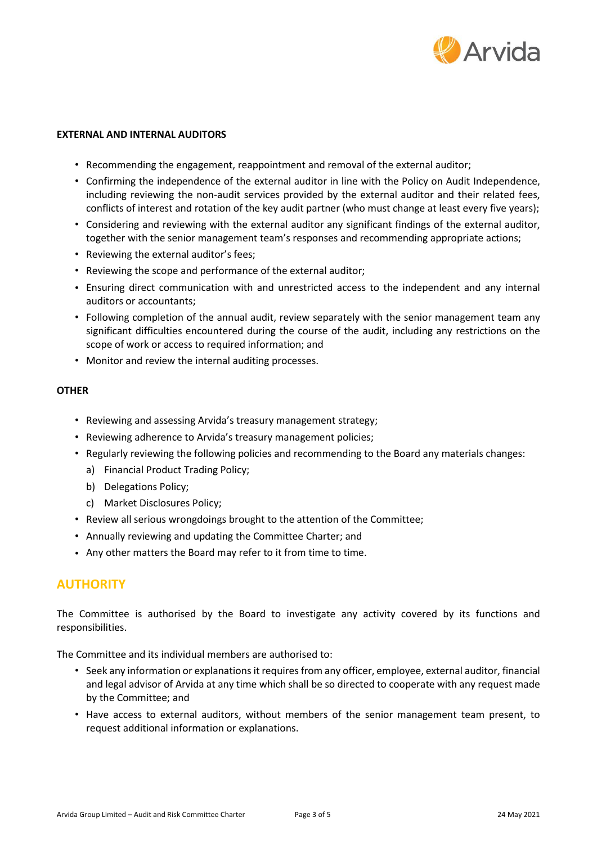

#### **EXTERNAL AND INTERNAL AUDITORS**

- Recommending the engagement, reappointment and removal of the external auditor;
- Confirming the independence of the external auditor in line with the Policy on Audit Independence, including reviewing the non-audit services provided by the external auditor and their related fees, conflicts of interest and rotation of the key audit partner (who must change at least every five years);
- Considering and reviewing with the external auditor any significant findings of the external auditor, together with the senior management team's responses and recommending appropriate actions;
- Reviewing the external auditor's fees;
- Reviewing the scope and performance of the external auditor;
- Ensuring direct communication with and unrestricted access to the independent and any internal auditors or accountants;
- Following completion of the annual audit, review separately with the senior management team any significant difficulties encountered during the course of the audit, including any restrictions on the scope of work or access to required information; and
- Monitor and review the internal auditing processes.

#### **OTHER**

- Reviewing and assessing Arvida's treasury management strategy;
- Reviewing adherence to Arvida's treasury management policies;
- Regularly reviewing the following policies and recommending to the Board any materials changes:
	- a) Financial Product Trading Policy;
	- b) Delegations Policy;
	- c) Market Disclosures Policy;
- Review all serious wrongdoings brought to the attention of the Committee;
- Annually reviewing and updating the Committee Charter; and
- Any other matters the Board may refer to it from time to time.

### **AUTHORITY**

The Committee is authorised by the Board to investigate any activity covered by its functions and responsibilities.

The Committee and its individual members are authorised to:

- Seek any information or explanations it requires from any officer, employee, external auditor, financial and legal advisor of Arvida at any time which shall be so directed to cooperate with any request made by the Committee; and
- Have access to external auditors, without members of the senior management team present, to request additional information or explanations.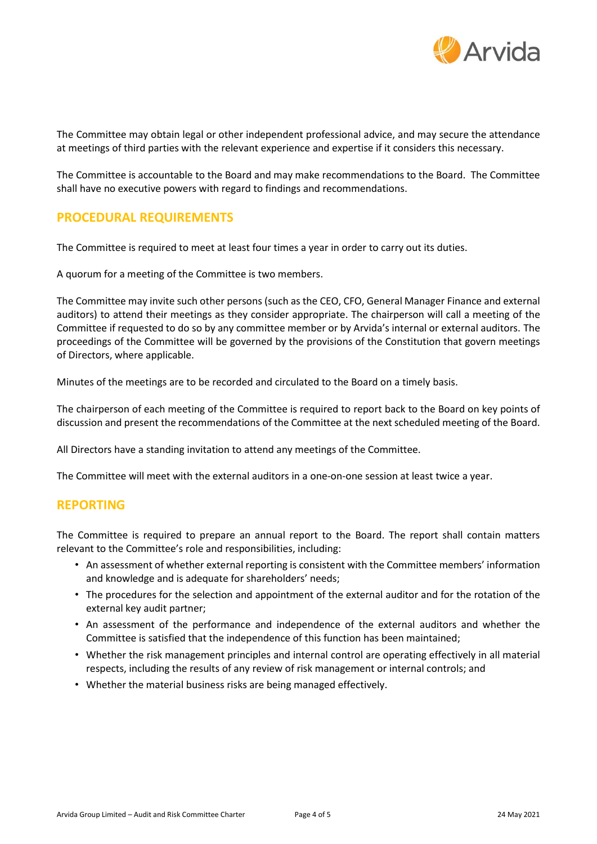

The Committee may obtain legal or other independent professional advice, and may secure the attendance at meetings of third parties with the relevant experience and expertise if it considers this necessary.

The Committee is accountable to the Board and may make recommendations to the Board. The Committee shall have no executive powers with regard to findings and recommendations.

## **PROCEDURAL REQUIREMENTS**

The Committee is required to meet at least four times a year in order to carry out its duties.

A quorum for a meeting of the Committee is two members.

The Committee may invite such other persons (such as the CEO, CFO, General Manager Finance and external auditors) to attend their meetings as they consider appropriate. The chairperson will call a meeting of the Committee if requested to do so by any committee member or by Arvida's internal or external auditors. The proceedings of the Committee will be governed by the provisions of the Constitution that govern meetings of Directors, where applicable.

Minutes of the meetings are to be recorded and circulated to the Board on a timely basis.

The chairperson of each meeting of the Committee is required to report back to the Board on key points of discussion and present the recommendations of the Committee at the next scheduled meeting of the Board.

All Directors have a standing invitation to attend any meetings of the Committee.

The Committee will meet with the external auditors in a one-on-one session at least twice a year.

### **REPORTING**

The Committee is required to prepare an annual report to the Board. The report shall contain matters relevant to the Committee's role and responsibilities, including:

- An assessment of whether external reporting is consistent with the Committee members' information and knowledge and is adequate for shareholders' needs;
- The procedures for the selection and appointment of the external auditor and for the rotation of the external key audit partner;
- An assessment of the performance and independence of the external auditors and whether the Committee is satisfied that the independence of this function has been maintained;
- Whether the risk management principles and internal control are operating effectively in all material respects, including the results of any review of risk management or internal controls; and
- Whether the material business risks are being managed effectively.